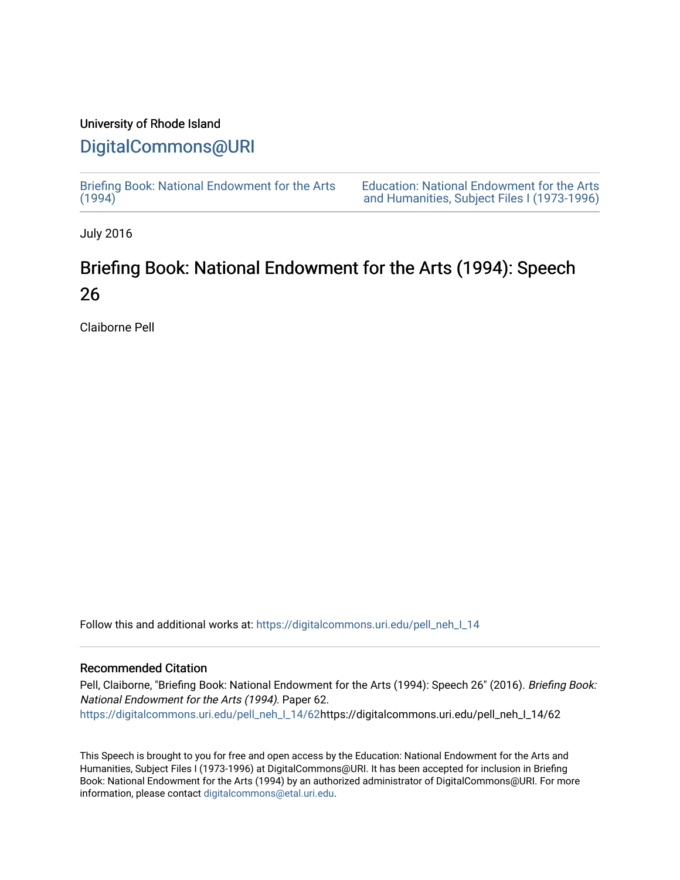### University of Rhode Island

## [DigitalCommons@URI](https://digitalcommons.uri.edu/)

[Briefing Book: National Endowment for the Arts](https://digitalcommons.uri.edu/pell_neh_I_14)  $(1994)$ 

[Education: National Endowment for the Arts](https://digitalcommons.uri.edu/pell_neh_I)  [and Humanities, Subject Files I \(1973-1996\)](https://digitalcommons.uri.edu/pell_neh_I) 

July 2016

# Briefing Book: National Endowment for the Arts (1994): Speech 26

Claiborne Pell

Follow this and additional works at: [https://digitalcommons.uri.edu/pell\\_neh\\_I\\_14](https://digitalcommons.uri.edu/pell_neh_I_14?utm_source=digitalcommons.uri.edu%2Fpell_neh_I_14%2F62&utm_medium=PDF&utm_campaign=PDFCoverPages) 

#### Recommended Citation

Pell, Claiborne, "Briefing Book: National Endowment for the Arts (1994): Speech 26" (2016). Briefing Book: National Endowment for the Arts (1994). Paper 62. [https://digitalcommons.uri.edu/pell\\_neh\\_I\\_14/62h](https://digitalcommons.uri.edu/pell_neh_I_14/62?utm_source=digitalcommons.uri.edu%2Fpell_neh_I_14%2F62&utm_medium=PDF&utm_campaign=PDFCoverPages)ttps://digitalcommons.uri.edu/pell\_neh\_I\_14/62

This Speech is brought to you for free and open access by the Education: National Endowment for the Arts and Humanities, Subject Files I (1973-1996) at DigitalCommons@URI. It has been accepted for inclusion in Briefing Book: National Endowment for the Arts (1994) by an authorized administrator of DigitalCommons@URI. For more information, please contact [digitalcommons@etal.uri.edu.](mailto:digitalcommons@etal.uri.edu)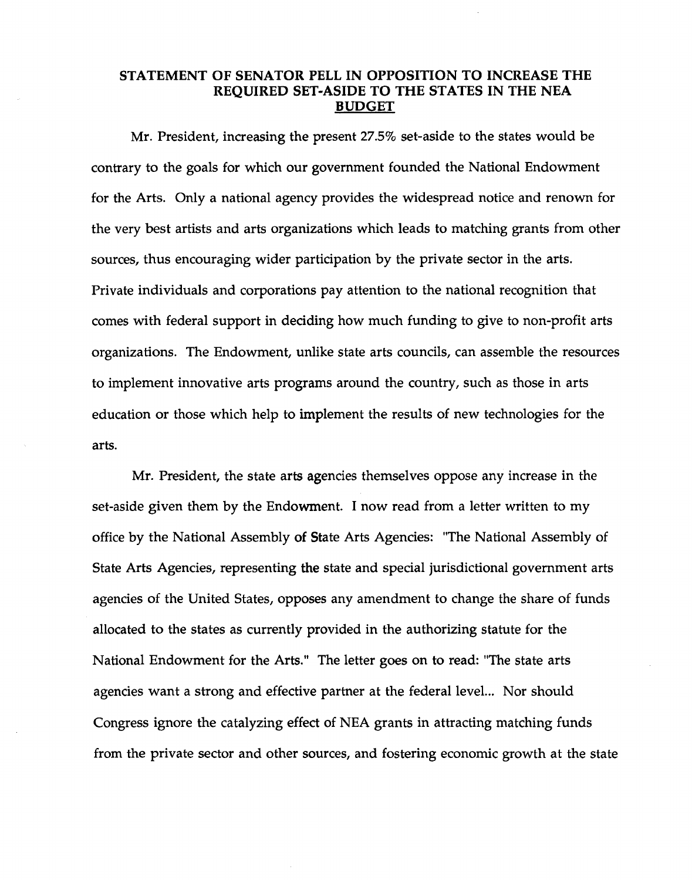### STATEMENT OF SENATOR PELL IN OPPOSITION TO INCREASE THE REQUIRED SET-ASIDE TO THE STATES IN THE NEA BUDGET

Mr. President, increasing the present 27.5% set-aside to the states would be contrary to the goals for which our government founded the National Endowment for the Arts. Only a national agency provides the widespread notice and renown for the very best artists and arts organizations which leads to matching grants from other sources, thus encouraging wider participation by the private sector in the arts. Private individuals and corporations pay attention to the national recognition that comes with federal support in deciding how much funding to give to non-profit arts organizations. The Endowment, unlike state arts councils, can assemble the resources to implement innovative arts programs around the country, such as those in arts education or those which help to implement the results of new technologies for the arts.

Mr. President, the state arts agencies themselves oppose any increase in the set-aside given them by the Endowment. I now read from a letter written to my office by the National Assembly of State Arts Agencies: "The National Assembly of State Arts Agencies, representing the state and special jurisdictional government arts agencies of the United States, opposes any amendment to change the share of funds allocated to the states as currently provided in the authorizing statute for the National Endowment for the Arts." The letter goes on to read: "The state arts agencies want a strong and effective partner at the federal level... Nor should Congress ignore the catalyzing effect of NEA grants in attracting matching funds from the private sector and other sources, and fostering economic growth at the state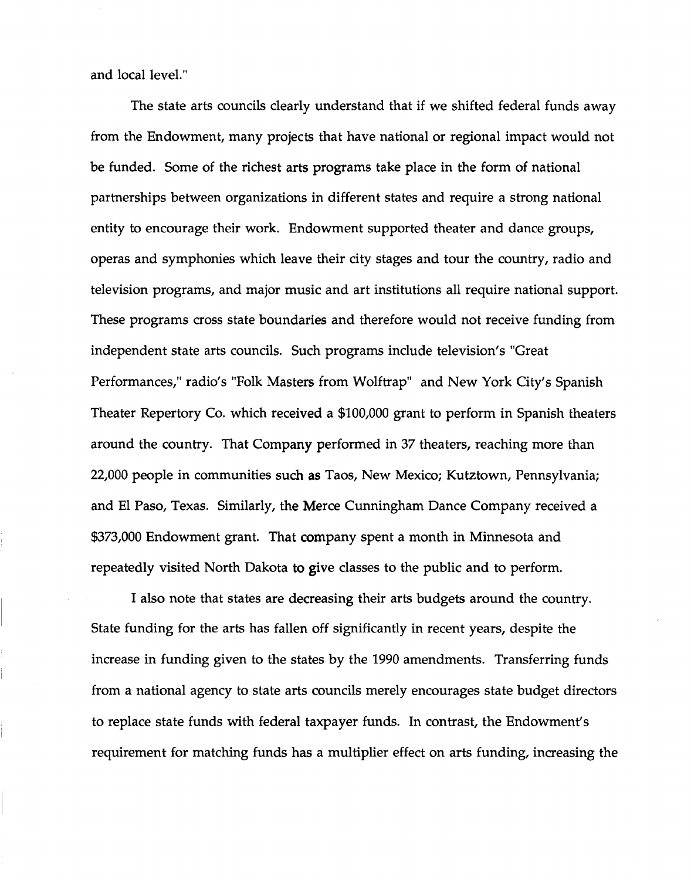and local level."

The state arts councils clearly understand that if we shifted federal funds away from the Endowment, many projects that have national or regional impact would not be funded. Some of the richest arts programs take place in the form of national partnerships between organizations in different states and require a strong national entity to encourage their work. Endowment supported theater and dance groups, operas and symphonies which leave their city stages and tour the country, radio and television programs, and major music and art institutions all require national support. These programs cross state boundaries and therefore would not receive funding from independent state arts councils. Such programs include television's "Great Performances," radio's "Folk Masters from Wolftrap" and New York City's Spanish Theater Repertory Co. which received a \$100,000 grant to perform in Spanish theaters around the country. That Company performed in 37 theaters, reaching more than 22,000 people in communities such as Taos, New Mexico; Kutztown, Pennsylvania; and El Paso, Texas. Similarly, the Merce Cunningham Dance Company received a \$373,000 Endowment grant. That company spent a month in Minnesota and repeatedly visited North Dakota to give classes to the public and to perform.

I also note that states are decreasing their arts budgets around the country. State funding for the arts has fallen off significantly in recent years, despite the increase in funding given to the states by the 1990 amendments. Transferring funds from a national agency to state arts councils merely encourages state budget directors to replace state funds with federal taxpayer funds. In contrast, the Endowment's requirement for matching funds has a multiplier effect on arts funding, increasing the